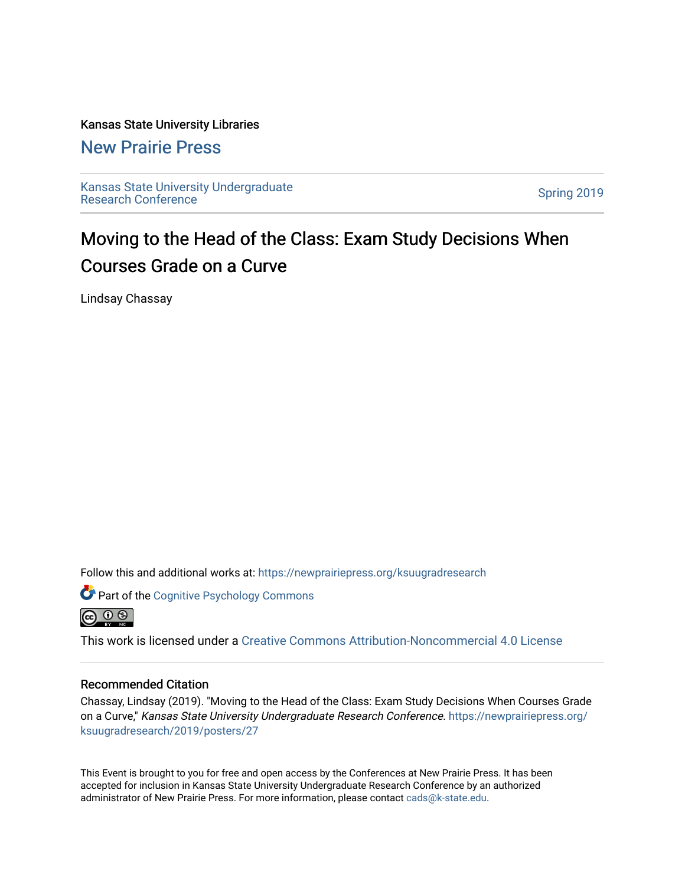#### Kansas State University Libraries

#### [New Prairie Press](https://newprairiepress.org/)

[Kansas State University Undergraduate](https://newprairiepress.org/ksuugradresearch)  Ransas State University Undergraduate<br>[Research Conference](https://newprairiepress.org/ksuugradresearch)

### Moving to the Head of the Class: Exam Study Decisions When Courses Grade on a Curve

Lindsay Chassay

Follow this and additional works at: [https://newprairiepress.org/ksuugradresearch](https://newprairiepress.org/ksuugradresearch?utm_source=newprairiepress.org%2Fksuugradresearch%2F2019%2Fposters%2F27&utm_medium=PDF&utm_campaign=PDFCoverPages) 





This work is licensed under a [Creative Commons Attribution-Noncommercial 4.0 License](https://creativecommons.org/licenses/by-nc/4.0/)

#### Recommended Citation

Chassay, Lindsay (2019). "Moving to the Head of the Class: Exam Study Decisions When Courses Grade on a Curve," Kansas State University Undergraduate Research Conference. [https://newprairiepress.org/](https://newprairiepress.org/ksuugradresearch/2019/posters/27) [ksuugradresearch/2019/posters/27](https://newprairiepress.org/ksuugradresearch/2019/posters/27)

This Event is brought to you for free and open access by the Conferences at New Prairie Press. It has been accepted for inclusion in Kansas State University Undergraduate Research Conference by an authorized administrator of New Prairie Press. For more information, please contact [cads@k-state.edu](mailto:cads@k-state.edu).